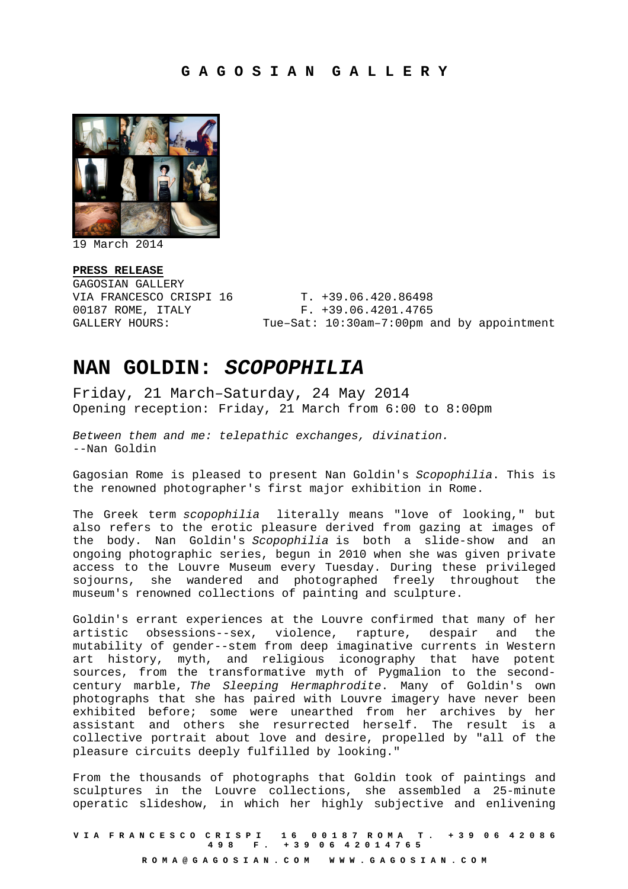

19 March 2014

**PRESS RELEASE**  GAGOSIAN GALLERY VIA FRANCESCO CRISPI 16 T. +39.06.420.86498

00187 ROME, ITALY F. +39.06.4201.4765 GALLERY HOURS: Tue-Sat: 10:30am-7:00pm and by appointment

## **NAN GOLDIN: SCOPOPHILIA**

Friday, 21 March–Saturday, 24 May 2014 Opening reception: Friday, 21 March from 6:00 to 8:00pm

Between them and me: telepathic exchanges, divination. --Nan Goldin

Gagosian Rome is pleased to present Nan Goldin's Scopophilia. This is the renowned photographer's first major exhibition in Rome.

The Greek term scopophilia literally means "love of looking," but also refers to the erotic pleasure derived from gazing at images of the body. Nan Goldin's Scopophilia is both a slide-show and an ongoing photographic series, begun in 2010 when she was given private access to the Louvre Museum every Tuesday. During these privileged sojourns, she wandered and photographed freely throughout the museum's renowned collections of painting and sculpture.

Goldin's errant experiences at the Louvre confirmed that many of her artistic obsessions--sex, violence, rapture, despair and the mutability of gender--stem from deep imaginative currents in Western art history, myth, and religious iconography that have potent sources, from the transformative myth of Pygmalion to the secondcentury marble, The Sleeping Hermaphrodite. Many of Goldin's own photographs that she has paired with Louvre imagery have never been exhibited before; some were unearthed from her archives by her assistant and others she resurrected herself. The result is a collective portrait about love and desire, propelled by "all of the pleasure circuits deeply fulfilled by looking."

From the thousands of photographs that Goldin took of paintings and sculptures in the Louvre collections, she assembled a 25-minute operatic slideshow, in which her highly subjective and enlivening